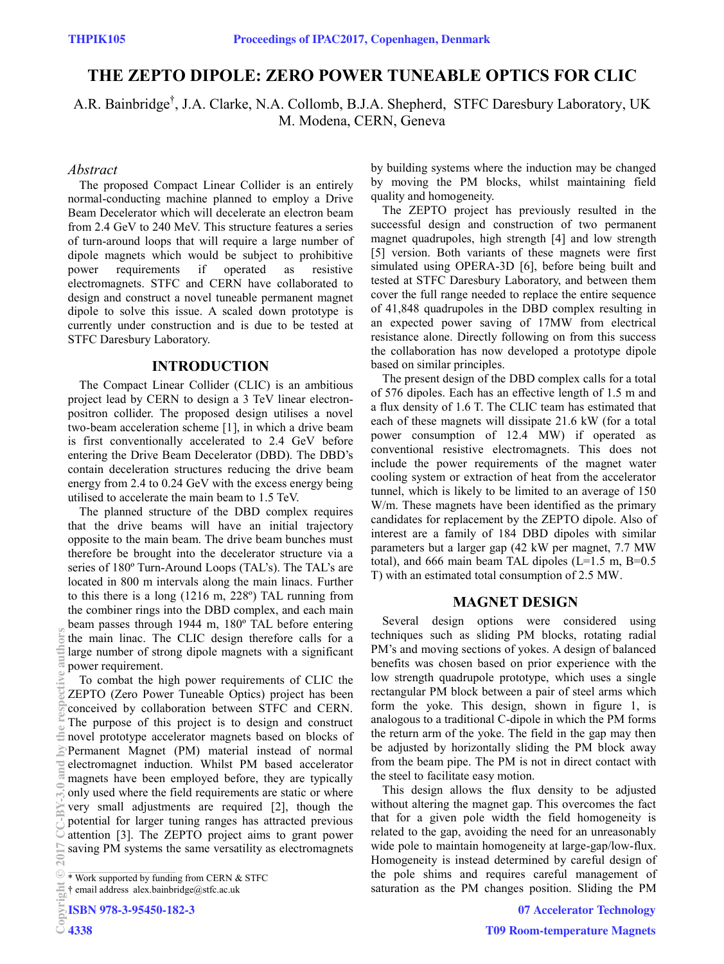# **THE ZEPTO DIPOLE: ZERO POWER TUNEABLE OPTICS FOR CLIC**

A.R. Bainbridge<sup>†</sup>, J.A. Clarke, N.A. Collomb, B.J.A. Shepherd, STFC Daresbury Laboratory, UK M. Modena, CERN, Geneva

#### *Abstract*

The proposed Compact Linear Collider is an entirely normal-conducting machine planned to employ a Drive Beam Decelerator which will decelerate an electron beam from 2.4 GeV to 240 MeV. This structure features a series of turn-around loops that will require a large number of dipole magnets which would be subject to prohibitive power requirements if operated as resistive electromagnets. STFC and CERN have collaborated to design and construct a novel tuneable permanent magnet dipole to solve this issue. A scaled down prototype is currently under construction and is due to be tested at STFC Daresbury Laboratory.

## **INTRODUCTION**

The Compact Linear Collider (CLIC) is an ambitious project lead by CERN to design a 3 TeV linear electronpositron collider. The proposed design utilises a novel two-beam acceleration scheme [1], in which a drive beam is first conventionally accelerated to 2.4 GeV before entering the Drive Beam Decelerator (DBD). The DBD's contain deceleration structures reducing the drive beam energy from 2.4 to 0.24 GeV with the excess energy being utilised to accelerate the main beam to 1.5 TeV.

The planned structure of the DBD complex requires that the drive beams will have an initial trajectory opposite to the main beam. The drive beam bunches must therefore be brought into the decelerator structure via a series of 180º Turn-Around Loops (TAL's). The TAL's are located in 800 m intervals along the main linacs. Further to this there is a long (1216 m, 228º) TAL running from the combiner rings into the DBD complex, and each main beam passes through 1944 m, 180º TAL before entering the main linac. The CLIC design therefore calls for a large number of strong dipole magnets with a significant power requirement.

To combat the high power requirements of CLIC the ZEPTO (Zero Power Tuneable Optics) project has been conceived by collaboration between STFC and CERN. The purpose of this project is to design and construct novel prototype accelerator magnets based on blocks of Permanent Magnet (PM) material instead of normal electromagnet induction. Whilst PM based accelerator magnets have been employed before, they are typically only used where the field requirements are static or where very small adjustments are required [2], though the potential for larger tuning ranges has attracted previous attention [3]. The ZEPTO project aims to grant power saving PM systems the same versatility as electromagnets **2017**<br> **2017**<br> **2017**<br> **2017**<br> **2017**<br> **2017**<br> **2017**<br> **2018**<br> **2018**<br> **2018** 

**ISBN 978-3-95450-182-3**

**OIPS** 

by building systems where the induction may be changed by moving the PM blocks, whilst maintaining field quality and homogeneity.

The ZEPTO project has previously resulted in the successful design and construction of two permanent magnet quadrupoles, high strength [4] and low strength [5] version. Both variants of these magnets were first simulated using OPERA-3D [6], before being built and tested at STFC Daresbury Laboratory, and between them cover the full range needed to replace the entire sequence of 41,848 quadrupoles in the DBD complex resulting in an expected power saving of 17MW from electrical resistance alone. Directly following on from this success the collaboration has now developed a prototype dipole based on similar principles.

The present design of the DBD complex calls for a total of 576 dipoles. Each has an effective length of 1.5 m and a flux density of 1.6 T. The CLIC team has estimated that each of these magnets will dissipate 21.6 kW (for a total power consumption of 12.4 MW) if operated as conventional resistive electromagnets. This does not include the power requirements of the magnet water cooling system or extraction of heat from the accelerator tunnel, which is likely to be limited to an average of 150 W/m. These magnets have been identified as the primary candidates for replacement by the ZEPTO dipole. Also of interest are a family of 184 DBD dipoles with similar parameters but a larger gap (42 kW per magnet, 7.7 MW total), and 666 main beam TAL dipoles  $(L=1.5 \text{ m}, B=0.5 \text{ m})$ T) with an estimated total consumption of 2.5 MW.

## **MAGNET DESIGN**

Several design options were considered using techniques such as sliding PM blocks, rotating radial PM's and moving sections of yokes. A design of balanced benefits was chosen based on prior experience with the low strength quadrupole prototype, which uses a single rectangular PM block between a pair of steel arms which form the yoke. This design, shown in figure 1, is analogous to a traditional C-dipole in which the PM forms the return arm of the yoke. The field in the gap may then be adjusted by horizontally sliding the PM block away from the beam pipe. The PM is not in direct contact with the steel to facilitate easy motion.

This design allows the flux density to be adjusted without altering the magnet gap. This overcomes the fact that for a given pole width the field homogeneity is related to the gap, avoiding the need for an unreasonably wide pole to maintain homogeneity at large-gap/low-flux. Homogeneity is instead determined by careful design of the pole shims and requires careful management of saturation as the PM changes position. Sliding the PM

<sup>\*</sup> Work supported by funding from CERN & STFC

<sup>†</sup> email address alex.bainbridge@stfc.ac.uk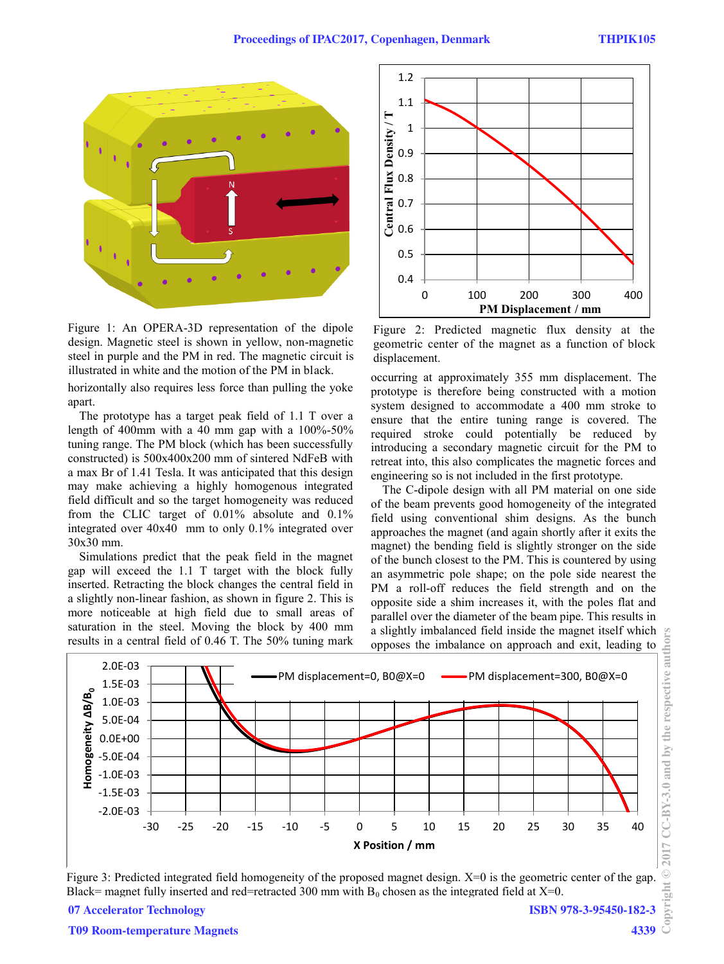

Figure 1: An OPERA-3D representation of the dipole design. Magnetic steel is shown in yellow, non-magnetic steel in purple and the PM in red. The magnetic circuit is illustrated in white and the motion of the PM in black.

horizontally also requires less force than pulling the yoke apart.

The prototype has a target peak field of 1.1 T over a length of 400mm with a 40 mm gap with a  $100\% - 50\%$ tuning range. The PM block (which has been successfully constructed) is 500x400x200 mm of sintered NdFeB with a max Br of 1.41 Tesla. It was anticipated that this design may make achieving a highly homogenous integrated field difficult and so the target homogeneity was reduced from the CLIC target of 0.01% absolute and 0.1% integrated over 40x40 mm to only 0.1% integrated over 30x30 mm.

Simulations predict that the peak field in the magnet gap will exceed the 1.1 T target with the block fully inserted. Retracting the block changes the central field in a slightly non-linear fashion, as shown in figure 2. This is more noticeable at high field due to small areas of saturation in the steel. Moving the block by 400 mm results in a central field of 0.46 T. The 50% tuning mark



Figure 2: Predicted magnetic flux density at the geometric center of the magnet as a function of block displacement.

occurring at approximately 355 mm displacement. The prototype is therefore being constructed with a motion system designed to accommodate a 400 mm stroke to ensure that the entire tuning range is covered. The required stroke could potentially be reduced by introducing a secondary magnetic circuit for the PM to retreat into, this also complicates the magnetic forces and engineering so is not included in the first prototype.

The C-dipole design with all PM material on one side of the beam prevents good homogeneity of the integrated field using conventional shim designs. As the bunch approaches the magnet (and again shortly after it exits the magnet) the bending field is slightly stronger on the side of the bunch closest to the PM. This is countered by using an asymmetric pole shape; on the pole side nearest the PM a roll-off reduces the field strength and on the opposite side a shim increases it, with the poles flat and parallel over the diameter of the beam pipe. This results in a slightly imbalanced field inside the magnet itself which opposes the imbalance on approach and exit, leading to



Figure 3: Predicted integrated field homogeneity of the proposed magnet design. X=0 is the geometric center of the gap. Black= magnet fully inserted and red=retracted 300 mm with  $B_0$  chosen as the integrated field at X=0.

**07 Accelerator Technology**

**ISBN 978-3-95450-182-3**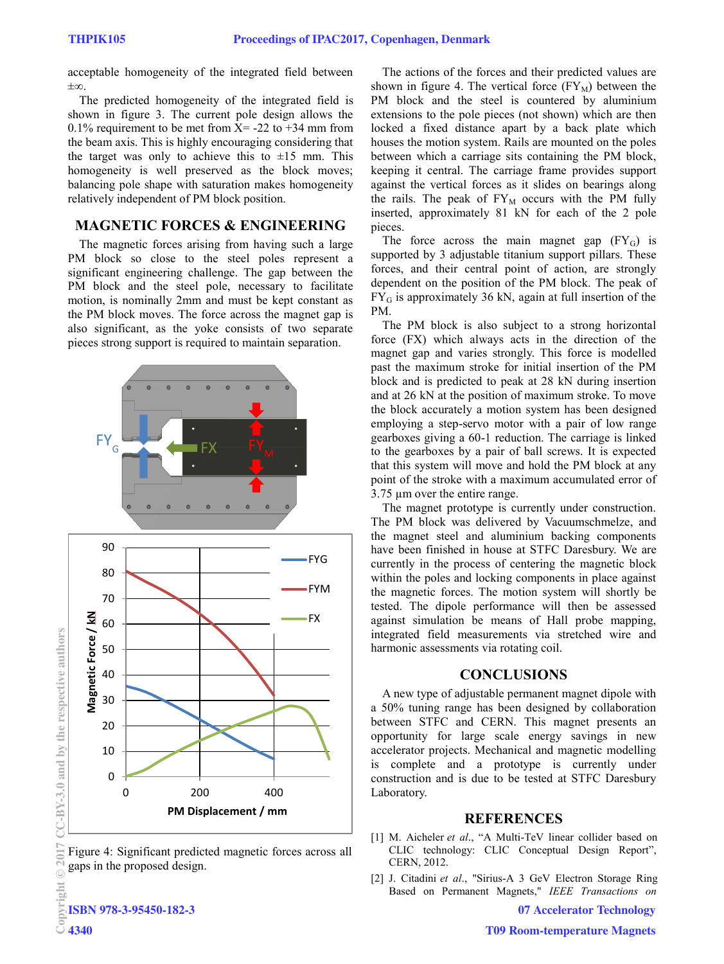acceptable homogeneity of the integrated field between ±∞.

The predicted homogeneity of the integrated field is shown in figure 3. The current pole design allows the 0.1% requirement to be met from  $X = -22$  to  $+34$  mm from the beam axis. This is highly encouraging considering that the target was only to achieve this to  $\pm 15$  mm. This homogeneity is well preserved as the block moves; balancing pole shape with saturation makes homogeneity relatively independent of PM block position.

### **MAGNETIC FORCES & ENGINEERING**

The magnetic forces arising from having such a large PM block so close to the steel poles represent a significant engineering challenge. The gap between the PM block and the steel pole, necessary to facilitate motion, is nominally 2mm and must be kept constant as the PM block moves. The force across the magnet gap is also significant, as the yoke consists of two separate pieces strong support is required to maintain separation.



Figure 4: Significant predicted magnetic forces across all gaps in the proposed design.

The actions of the forces and their predicted values are shown in figure 4. The vertical force  $(FY_M)$  between the PM block and the steel is countered by aluminium extensions to the pole pieces (not shown) which are then locked a fixed distance apart by a back plate which houses the motion system. Rails are mounted on the poles between which a carriage sits containing the PM block, keeping it central. The carriage frame provides support against the vertical forces as it slides on bearings along the rails. The peak of  $FY_M$  occurs with the PM fully inserted, approximately 81 kN for each of the 2 pole pieces.

The force across the main magnet gap  $(FY_G)$  is supported by 3 adjustable titanium support pillars. These forces, and their central point of action, are strongly dependent on the position of the PM block. The peak of  $FY_G$  is approximately 36 kN, again at full insertion of the PM.

The PM block is also subject to a strong horizontal force (FX) which always acts in the direction of the magnet gap and varies strongly. This force is modelled past the maximum stroke for initial insertion of the PM block and is predicted to peak at 28 kN during insertion and at 26 kN at the position of maximum stroke. To move the block accurately a motion system has been designed employing a step-servo motor with a pair of low range gearboxes giving a 60-1 reduction. The carriage is linked to the gearboxes by a pair of ball screws. It is expected that this system will move and hold the PM block at any point of the stroke with a maximum accumulated error of 3.75 µm over the entire range.

The magnet prototype is currently under construction. The PM block was delivered by Vacuumschmelze, and the magnet steel and aluminium backing components have been finished in house at STFC Daresbury. We are currently in the process of centering the magnetic block within the poles and locking components in place against the magnetic forces. The motion system will shortly be tested. The dipole performance will then be assessed against simulation be means of Hall probe mapping, integrated field measurements via stretched wire and harmonic assessments via rotating coil.

#### **CONCLUSIONS**

A new type of adjustable permanent magnet dipole with a 50% tuning range has been designed by collaboration between STFC and CERN. This magnet presents an opportunity for large scale energy savings in new accelerator projects. Mechanical and magnetic modelling is complete and a prototype is currently under construction and is due to be tested at STFC Daresbury Laboratory.

#### **REFERENCES**

- [1] M. Aicheler *et al*., "A Multi-TeV linear collider based on CLIC technology: CLIC Conceptual Design Report", CERN, 2012.
- [2] J. Citadini *et al*., "Sirius-A 3 GeV Electron Storage Ring Based on Permanent Magnets," *IEEE Transactions on*

**07 Accelerator Technology**

**©**